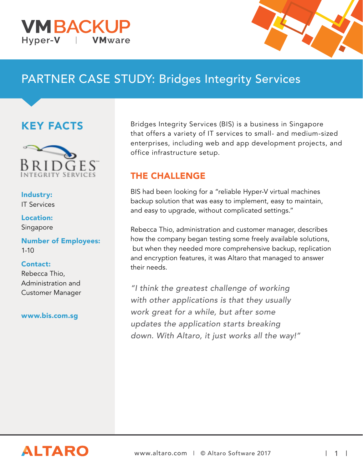



# PARTNER CASE STUDY: Bridges Integrity Services

### KEY FACTS



Industry: IT Services

Location: Singapore

Number of Employees:  $1 - 10$ 

Contact: Rebecca Thio, Administration and

www.bis.com.sg

Customer Manager

Bridges Integrity Services (BIS) is a business in Singapore that offers a variety of IT services to small- and medium-sized enterprises, including web and app development projects, and office infrastructure setup.

#### THE CHALLENGE

BIS had been looking for a "reliable Hyper-V virtual machines backup solution that was easy to implement, easy to maintain, and easy to upgrade, without complicated settings."

Rebecca Thio, administration and customer manager, describes how the company began testing some freely available solutions, but when they needed more comprehensive backup, replication and encryption features, it was Altaro that managed to answer their needs.

"I think the greatest challenge of working with other applications is that they usually work great for a while, but after some updates the application starts breaking down. With Altaro, it just works all the way!"